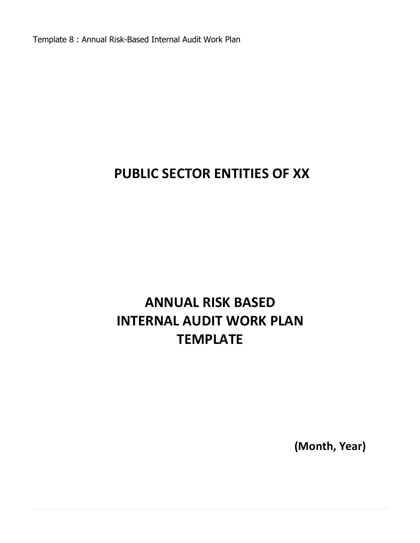Template 8 : Annual Risk-Based Internal Audit Work Plan

# **PUBLIC SECTOR ENTITIES OF XX**

# **ANNUAL RISK BASED INTERNAL AUDIT WORK PLAN TEMPLATE**

**(Month, Year)**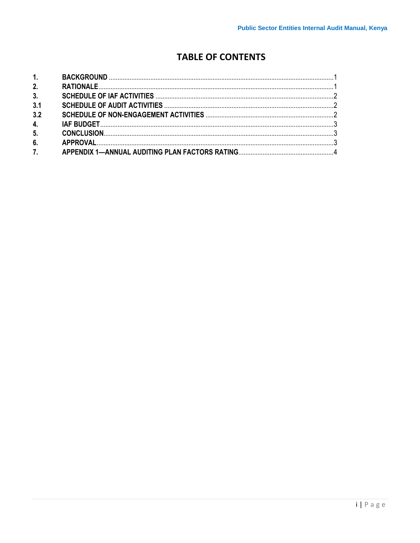# **TABLE OF CONTENTS**

| 1.  |  |
|-----|--|
| 2.  |  |
| 3.  |  |
| 3.1 |  |
| 3.2 |  |
| 4.  |  |
| 5.  |  |
| 6.  |  |
| 7.  |  |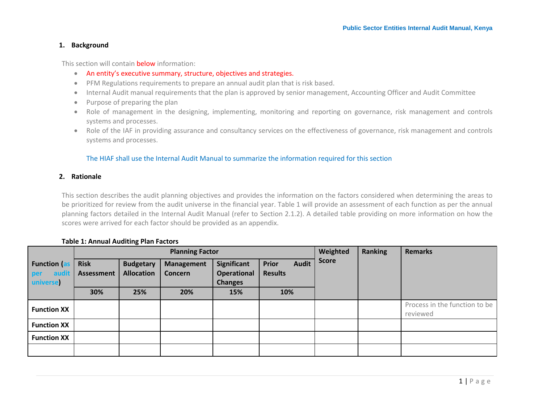#### **1. Background**

This section will contain **below** information:

- An entity's executive summary, structure, objectives and strategies.
- PFM Regulations requirements to prepare an annual audit plan that is risk based.
- Internal Audit manual requirements that the plan is approved by senior management, Accounting Officer and Audit Committee
- Purpose of preparing the plan
- Role of management in the designing, implementing, monitoring and reporting on governance, risk management and controls systems and processes.
- Role of the IAF in providing assurance and consultancy services on the effectiveness of governance, risk management and controls systems and processes.

#### The HIAF shall use the Internal Audit Manual to summarize the information required for this section

#### <span id="page-2-0"></span>**2. Rationale**

This section describes the audit planning objectives and provides the information on the factors considered when determining the areas to be prioritized for review from the audit universe in the financial year. Table 1 will provide an assessment of each function as per the annual planning factors detailed in the Internal Audit Manual (refer to Section 2.1.2). A detailed table providing on more information on how the scores were arrived for each factor should be provided as an appendix.

#### **Table 1: Annual Auditing Plan Factors**

<span id="page-2-1"></span>

|                                                  |                                  |                                       | <b>Planning Factor</b>              |                                                     | Weighted                                       | <b>Ranking</b> | <b>Remarks</b> |                                           |
|--------------------------------------------------|----------------------------------|---------------------------------------|-------------------------------------|-----------------------------------------------------|------------------------------------------------|----------------|----------------|-------------------------------------------|
| <b>Function (as</b><br>audit<br>per<br>universe) | <b>Risk</b><br><b>Assessment</b> | <b>Budgetary</b><br><b>Allocation</b> | <b>Management</b><br><b>Concern</b> | Significant<br><b>Operational</b><br><b>Changes</b> | <b>Audit</b><br><b>Prior</b><br><b>Results</b> | <b>Score</b>   |                |                                           |
|                                                  | 30%                              | 25%                                   | 20%                                 | 15%                                                 | 10%                                            |                |                |                                           |
| <b>Function XX</b>                               |                                  |                                       |                                     |                                                     |                                                |                |                | Process in the function to be<br>reviewed |
| <b>Function XX</b>                               |                                  |                                       |                                     |                                                     |                                                |                |                |                                           |
| <b>Function XX</b>                               |                                  |                                       |                                     |                                                     |                                                |                |                |                                           |
|                                                  |                                  |                                       |                                     |                                                     |                                                |                |                |                                           |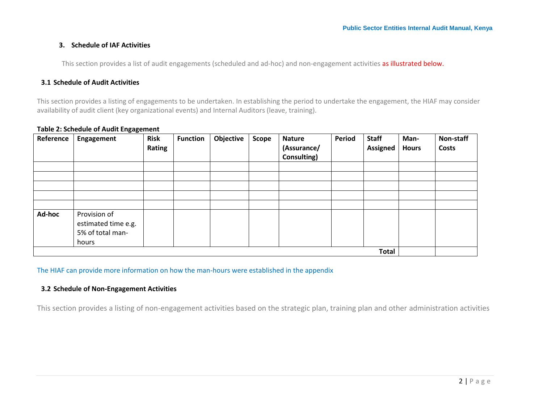# **3. Schedule of IAF Activities**

This section provides a list of audit engagements (scheduled and ad-hoc) and non-engagement activities as illustrated below.

#### **3.1 Schedule of Audit Activities**

This section provides a listing of engagements to be undertaken. In establishing the period to undertake the engagement, the HIAF may consider availability of audit client (key organizational events) and Internal Auditors (leave, training).

<span id="page-3-0"></span>

| Reference    | Engagement                                                       | <b>Risk</b><br>Rating | <b>Function</b> | Objective | <b>Scope</b> | <b>Nature</b><br>(Assurance/<br>Consulting) | <b>Period</b> | <b>Staff</b><br><b>Assigned</b> | Man-<br><b>Hours</b> | Non-staff<br><b>Costs</b> |
|--------------|------------------------------------------------------------------|-----------------------|-----------------|-----------|--------------|---------------------------------------------|---------------|---------------------------------|----------------------|---------------------------|
|              |                                                                  |                       |                 |           |              |                                             |               |                                 |                      |                           |
|              |                                                                  |                       |                 |           |              |                                             |               |                                 |                      |                           |
|              |                                                                  |                       |                 |           |              |                                             |               |                                 |                      |                           |
|              |                                                                  |                       |                 |           |              |                                             |               |                                 |                      |                           |
|              |                                                                  |                       |                 |           |              |                                             |               |                                 |                      |                           |
| Ad-hoc       | Provision of<br>estimated time e.g.<br>5% of total man-<br>hours |                       |                 |           |              |                                             |               |                                 |                      |                           |
| <b>Total</b> |                                                                  |                       |                 |           |              |                                             |               |                                 |                      |                           |

#### **Table 2: Schedule of Audit Engagement**

<span id="page-3-1"></span>The HIAF can provide more information on how the man-hours were established in the appendix

# **3.2 Schedule of Non-Engagement Activities**

<span id="page-3-2"></span>This section provides a listing of non-engagement activities based on the strategic plan, training plan and other administration activities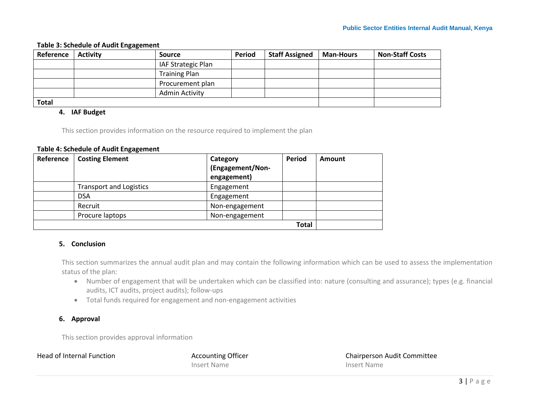### **Table 3: Schedule of Audit Engagement**

| Reference    | <b>Activity</b> | Source               | <b>Period</b> | <b>Staff Assigned</b> | <b>Man-Hours</b> | <b>Non-Staff Costs</b> |
|--------------|-----------------|----------------------|---------------|-----------------------|------------------|------------------------|
|              |                 | IAF Strategic Plan   |               |                       |                  |                        |
|              |                 | <b>Training Plan</b> |               |                       |                  |                        |
|              |                 | Procurement plan     |               |                       |                  |                        |
|              |                 | Admin Activity       |               |                       |                  |                        |
| <b>Total</b> |                 |                      |               |                       |                  |                        |

#### **4. IAF Budget**

This section provides information on the resource required to implement the plan

#### **Table 4: Schedule of Audit Engagement**

| Reference | <b>Costing Element</b>         | Category<br>(Engagement/Non-<br>engagement) | Period       | Amount |
|-----------|--------------------------------|---------------------------------------------|--------------|--------|
|           | <b>Transport and Logistics</b> | Engagement                                  |              |        |
|           | <b>DSA</b>                     | Engagement                                  |              |        |
|           | Recruit                        | Non-engagement                              |              |        |
|           | Procure laptops                | Non-engagement                              |              |        |
|           |                                |                                             | <b>Total</b> |        |

# <span id="page-4-0"></span>**5. Conclusion**

This section summarizes the annual audit plan and may contain the following information which can be used to assess the implementation status of the plan:

- Number of engagement that will be undertaken which can be classified into: nature (consulting and assurance); types (e.g. financial audits, ICT audits, project audits); follow-ups
- Total funds required for engagement and non-engagement activities

### **6. Approval**

This section provides approval information

<span id="page-4-2"></span><span id="page-4-1"></span>

Insert Name **Insert Name** 

Head of Internal Function Theorem Accounting Officer Theorem 2016 Chairperson Audit Committee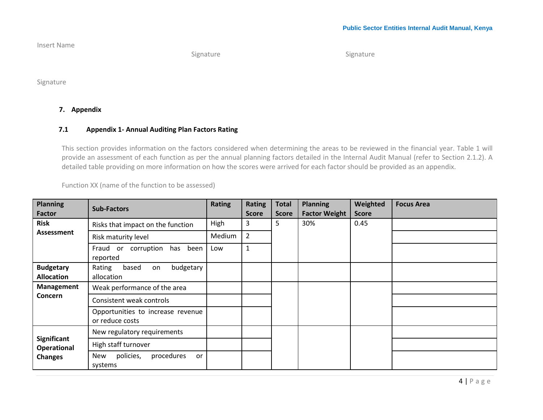#### Insert Name

Signature Signature Signature

Signature

# **7. Appendix**

# **7.1 Appendix 1- Annual Auditing Plan Factors Rating**

This section provides information on the factors considered when determining the areas to be reviewed in the financial year. Table 1 will provide an assessment of each function as per the annual planning factors detailed in the Internal Audit Manual (refer to Section 2.1.2). A detailed table providing on more information on how the scores were arrived for each factor should be provided as an appendix.

Function XX (name of the function to be assessed)

<span id="page-5-0"></span>

| <b>Planning</b><br><b>Factor</b>      | <b>Sub-Factors</b>                                   | <b>Rating</b> | <b>Rating</b><br><b>Score</b> | <b>Total</b><br><b>Score</b> | <b>Planning</b><br><b>Factor Weight</b> | Weighted<br><b>Score</b> | <b>Focus Area</b> |
|---------------------------------------|------------------------------------------------------|---------------|-------------------------------|------------------------------|-----------------------------------------|--------------------------|-------------------|
| <b>Risk</b>                           | Risks that impact on the function                    | High          | 3                             | 5                            | 30%                                     | 0.45                     |                   |
| Assessment                            | Risk maturity level                                  | Medium        | $\overline{2}$                |                              |                                         |                          |                   |
|                                       | corruption<br>has been<br>Fraud or<br>reported       | Low           | $\mathbf{1}$                  |                              |                                         |                          |                   |
| <b>Budgetary</b><br><b>Allocation</b> | Rating<br>based<br>budgetary<br>on<br>allocation     |               |                               |                              |                                         |                          |                   |
| Management                            | Weak performance of the area                         |               |                               |                              |                                         |                          |                   |
| <b>Concern</b>                        | Consistent weak controls                             |               |                               |                              |                                         |                          |                   |
|                                       | Opportunities to increase revenue<br>or reduce costs |               |                               |                              |                                         |                          |                   |
|                                       | New regulatory requirements                          |               |                               |                              |                                         |                          |                   |
| Significant<br><b>Operational</b>     | High staff turnover                                  |               |                               |                              |                                         |                          |                   |
| <b>Changes</b>                        | policies,<br>procedures<br>New<br>or<br>systems      |               |                               |                              |                                         |                          |                   |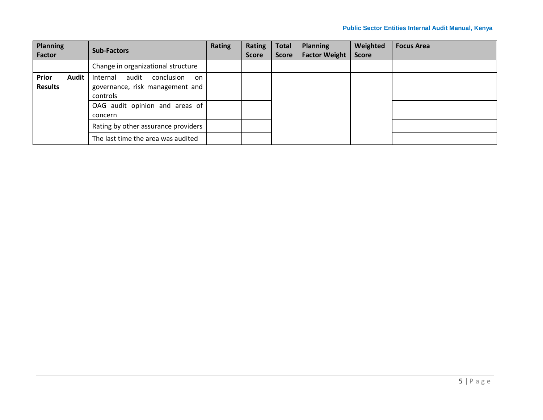| <b>Planning</b><br><b>Factor</b> |       | <b>Sub-Factors</b>                                                                   | <b>Rating</b> | Rating<br><b>Score</b> | <b>Total</b><br><b>Score</b> | <b>Planning</b><br><b>Factor Weight</b> | Weighted<br><b>Score</b> | <b>Focus Area</b> |
|----------------------------------|-------|--------------------------------------------------------------------------------------|---------------|------------------------|------------------------------|-----------------------------------------|--------------------------|-------------------|
|                                  |       | Change in organizational structure                                                   |               |                        |                              |                                         |                          |                   |
| Prior<br><b>Results</b>          | Audit | audit<br>conclusion<br>Internal<br>on<br>governance, risk management and<br>controls |               |                        |                              |                                         |                          |                   |
|                                  |       | OAG audit opinion and areas of<br>concern                                            |               |                        |                              |                                         |                          |                   |
|                                  |       | Rating by other assurance providers                                                  |               |                        |                              |                                         |                          |                   |
|                                  |       | The last time the area was audited                                                   |               |                        |                              |                                         |                          |                   |